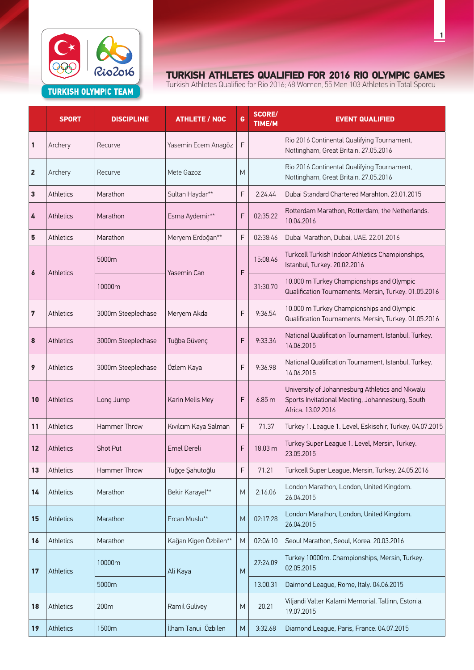

|                         | <b>SPORT</b>     | <b>DISCIPLINE</b>  | <b>ATHLETE / NOC</b>  | G | <b>SCORE/</b><br><b>TIME/M</b> | <b>EVENT QUALIFIED</b>                                                                                                    |
|-------------------------|------------------|--------------------|-----------------------|---|--------------------------------|---------------------------------------------------------------------------------------------------------------------------|
| 1                       | Archery          | Recurve            | Yasemin Ecem Anagöz   | F |                                | Rio 2016 Continental Qualifying Tournament,<br>Nottingham, Great Britain. 27.05.2016                                      |
| $\overline{\mathbf{2}}$ | Archery          | Recurve            | Mete Gazoz            | M |                                | Rio 2016 Continental Qualifying Tournament,<br>Nottingham, Great Britain. 27.05.2016                                      |
| 3                       | Athletics        | Marathon           | Sultan Haydar**       | F | 2:24.44                        | Dubai Standard Chartered Marahton. 23.01.2015                                                                             |
| 4                       | <b>Athletics</b> | Marathon           | Esma Aydemir**        | F | 02:35:22                       | Rotterdam Marathon, Rotterdam, the Netherlands.<br>10.04.2016                                                             |
| 5                       | Athletics        | Marathon           | Meryem Erdoğan**      | F | 02:38:46                       | Dubai Marathon, Dubai, UAE. 22.01.2016                                                                                    |
| $\boldsymbol{6}$        |                  | 5000m              | Yasemin Can           |   | 15:08.46                       | Turkcell Turkish Indoor Athletics Championships,<br>Istanbul, Turkey. 20.02.2016                                          |
|                         | <b>Athletics</b> | 10000m             |                       | F | 31:30.70                       | 10.000 m Turkey Championships and Olympic<br>Qualification Tournaments. Mersin, Turkey. 01.05.2016                        |
| 7                       | Athletics        | 3000m Steeplechase | Meryem Akda           | F | 9:36.54                        | 10.000 m Turkey Championships and Olympic<br>Qualification Tournaments. Mersin, Turkey. 01.05.2016                        |
| 8                       | Athletics        | 3000m Steeplechase | Tuğba Güvenç          | F | 9:33.34                        | National Qualification Tournament, Istanbul, Turkey.<br>14.06.2015                                                        |
| 9                       | Athletics        | 3000m Steeplechase | Özlem Kaya            | F | 9:36.98                        | National Qualification Tournament, Istanbul, Turkey.<br>14.06.2015                                                        |
| 10                      | Athletics        | Long Jump          | Karin Melis Mey       | F | 6.85m                          | University of Johannesburg Athletics and Nkwalu<br>Sports Invitational Meeting, Johannesburg, South<br>Africa. 13.02.2016 |
| 11                      | Athletics        | Hammer Throw       | Kıvılcım Kaya Salman  | F | 71.37                          | Turkey 1. League 1. Level, Eskisehir, Turkey. 04.07.2015                                                                  |
| $12 \overline{ }$       | Athletics        | <b>Shot Put</b>    | <b>Emel Dereli</b>    | F | 18.03 m                        | Turkey Super League 1. Level, Mersin, Turkey.<br>23.05.2015                                                               |
| 13                      | Athletics        | Hammer Throw       | Tuğçe Şahutoğlu       | F | 71.21                          | Turkcell Super League, Mersin, Turkey. 24.05.2016                                                                         |
| 14                      | Athletics        | Marathon           | Bekir Karayel**       | M | 2:16.06                        | London Marathon, London, United Kingdom.<br>26.04.2015                                                                    |
| 15                      | Athletics        | Marathon           | Ercan Muslu**         | M | 02:17:28                       | London Marathon, London, United Kingdom.<br>26.04.2015                                                                    |
| 16                      | Athletics        | Marathon           | Kağan Kigen Özbilen** | M | 02:06:10                       | Seoul Marathon, Seoul, Korea. 20.03.2016                                                                                  |
| 17                      | <b>Athletics</b> | 10000m             | Ali Kaya              | M | 27:24.09                       | Turkey 10000m. Championships, Mersin, Turkey.<br>02.05.2015                                                               |
|                         |                  | 5000m              |                       |   | 13.00.31                       | Daimond League, Rome, Italy. 04.06.2015                                                                                   |
| 18                      | Athletics        | 200m               | Ramil Gulivey         | M | 20.21                          | Viljandi Valter Kalami Memorial, Tallinn, Estonia.<br>19.07.2015                                                          |
| 19                      | Athletics        | 1500m              | İlham Tanui Özbilen   | M | 3:32.68                        | Diamond League, Paris, France. 04.07.2015                                                                                 |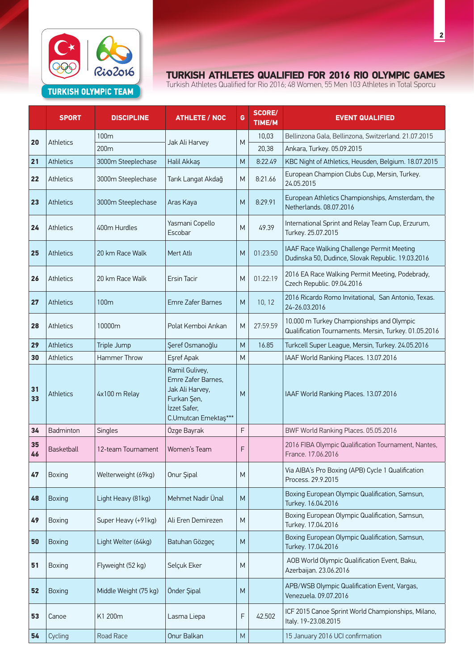

|          | <b>SPORT</b>     | <b>DISCIPLINE</b>     | <b>ATHLETE / NOC</b>                                                                                           | G         | <b>SCORE/</b><br>TIME/M | <b>EVENT QUALIFIED</b>                                                                             |
|----------|------------------|-----------------------|----------------------------------------------------------------------------------------------------------------|-----------|-------------------------|----------------------------------------------------------------------------------------------------|
|          |                  | 100m                  |                                                                                                                |           | 10,03                   | Bellinzona Gala, Bellinzona, Switzerland. 21.07.2015                                               |
| 20       | <b>Athletics</b> | 200 <sub>m</sub>      | Jak Ali Harvey                                                                                                 | M         | 20,38                   | Ankara, Turkey. 05.09.2015                                                                         |
| 21       | Athletics        | 3000m Steeplechase    | Halil Akkaş                                                                                                    | M         | 8:22.49                 | KBC Night of Athletics, Heusden, Belgium. 18.07.2015                                               |
| 22       | <b>Athletics</b> | 3000m Steeplechase    | Tarık Langat Akdağ                                                                                             | M         | 8:21.66                 | European Champion Clubs Cup, Mersin, Turkey.<br>24.05.2015                                         |
| 23       | <b>Athletics</b> | 3000m Steeplechase    | Aras Kaya                                                                                                      | M         | 8:29.91                 | European Athletics Championships, Amsterdam, the<br>Netherlands. 08.07.2016                        |
| 24       | <b>Athletics</b> | 400m Hurdles          | Yasmani Copello<br>Escobar                                                                                     | M         | 49.39                   | International Sprint and Relay Team Cup, Erzurum,<br>Turkey. 25.07.2015                            |
| 25       | <b>Athletics</b> | 20 km Race Walk       | Mert Atlı                                                                                                      | M         | 01:23:50                | IAAF Race Walking Challenge Permit Meeting<br>Dudinska 50, Dudince, Slovak Republic. 19.03.2016    |
| 26       | <b>Athletics</b> | 20 km Race Walk       | <b>Ersin Tacir</b>                                                                                             | M         | 01:22:19                | 2016 EA Race Walking Permit Meeting, Podebrady,<br>Czech Republic. 09.04.2016                      |
| 27       | <b>Athletics</b> | 100m                  | Emre Zafer Barnes                                                                                              | M         | 10, 12                  | 2016 Ricardo Romo Invitational, San Antonio, Texas.<br>24-26.03.2016                               |
| 28       | Athletics        | 10000m                | Polat Kemboi Arıkan                                                                                            | M         | 27:59.59                | 10.000 m Turkey Championships and Olympic<br>Qualification Tournaments. Mersin, Turkey. 01.05.2016 |
| 29       | <b>Athletics</b> | Triple Jump           | Şeref Osmanoğlu                                                                                                | M         | 16.85                   | Turkcell Super League, Mersin, Turkey. 24.05.2016                                                  |
| 30       | <b>Athletics</b> | Hammer Throw          | Eşref Apak                                                                                                     | M         |                         | IAAF World Ranking Places. 13.07.2016                                                              |
| 31<br>33 | <b>Athletics</b> | 4x100 m Relay         | Ramil Gulivey,<br>Emre Zafer Barnes,<br>Jak Ali Harvey,<br>Furkan Şen,<br>İzzet Safer,<br>C.Umutcan Emektaş*** | M         |                         | IAAF World Ranking Places. 13.07.2016                                                              |
| 34       | Badminton        | Singles               | Özge Bayrak                                                                                                    | F         |                         | BWF World Ranking Places. 05.05.2016                                                               |
| 35<br>46 | Basketball       | 12-team Tournament    | Women's Team                                                                                                   | F         |                         | 2016 FIBA Olympic Qualification Tournament, Nantes,<br>France. 17.06.2016                          |
| 47       | Boxing           | Welterweight (69kg)   | Onur Şipal                                                                                                     | M         |                         | Via AIBA's Pro Boxing (APB) Cycle 1 Qualification<br>Process. 29.9.2015                            |
| 48       | Boxing           | Light Heavy (81kg)    | Mehmet Nadir Ünal                                                                                              | M         |                         | Boxing European Olympic Qualification, Samsun,<br>Turkey. 16.04.2016                               |
| 49       | Boxing           | Super Heavy (+91kg)   | Ali Eren Demirezen                                                                                             | M         |                         | Boxing European Olympic Qualification, Samsun,<br>Turkey. 17.04.2016                               |
| 50       | Boxing           | Light Welter (64kg)   | Batuhan Gözgeç                                                                                                 | M         |                         | Boxing European Olympic Qualification, Samsun,<br>Turkey. 17.04.2016                               |
| 51       | Boxing           | Flyweight (52 kg)     | Selçuk Eker                                                                                                    | M         |                         | AOB World Olympic Qualification Event, Baku,<br>Azerbaijan. 23.06.2016                             |
| 52       | <b>Boxing</b>    | Middle Weight (75 kg) | Önder Şipal                                                                                                    | M         |                         | APB/WSB Olympic Qualification Event, Vargas,<br>Venezuela. 09.07.2016                              |
| 53       | Canoe            | K1 200m               | Lasma Liepa                                                                                                    | F         | 42.502                  | ICF 2015 Canoe Sprint World Championships, Milano,<br>Italy. 19-23.08.2015                         |
| 54       | Cycling          | Road Race             | Onur Balkan                                                                                                    | ${\sf M}$ |                         | 15 January 2016 UCI confirmation                                                                   |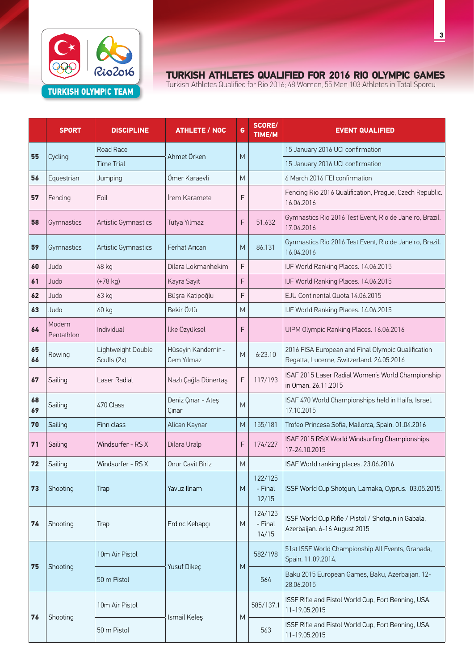

|          | <b>SPORT</b>         | <b>DISCIPLINE</b>                 | <b>ATHLETE / NOC</b>             | G | <b>SCORE/</b><br>TIME/M     | <b>EVENT QUALIFIED</b>                                                                          |
|----------|----------------------|-----------------------------------|----------------------------------|---|-----------------------------|-------------------------------------------------------------------------------------------------|
| 55       | Cycling              | Road Race                         |                                  |   |                             | 15 January 2016 UCI confirmation                                                                |
|          |                      | <b>Time Trial</b>                 | Ahmet Örken                      | M |                             | 15 January 2016 UCI confirmation                                                                |
| 56       | Equestrian           | Jumping                           | Ömer Karaevli                    | M |                             | 6 March 2016 FEI confirmation                                                                   |
| 57       | Fencing              | Foil                              | <b>Irem Karamete</b>             | F |                             | Fencing Rio 2016 Qualification, Prague, Czech Republic.<br>16.04.2016                           |
| 58       | Gymnastics           | <b>Artistic Gymnastics</b>        | Tutya Yılmaz                     | F | 51.632                      | Gymnastics Rio 2016 Test Event, Rio de Janeiro, Brazil.<br>17.04.2016                           |
| 59       | Gymnastics           | <b>Artistic Gymnastics</b>        | Ferhat Arıcan                    | M | 86.131                      | Gymnastics Rio 2016 Test Event, Rio de Janeiro, Brazil.<br>16.04.2016                           |
| 60       | Judo                 | 48 kg                             | Dilara Lokmanhekim               | F |                             | IJF World Ranking Places. 14.06.2015                                                            |
| 61       | Judo                 | $(+78$ kg)                        | Kayra Sayit                      | F |                             | IJF World Ranking Places. 14.06.2015                                                            |
| 62       | Judo                 | 63 kg                             | Büşra Katipoğlu                  | F |                             | EJU Continental Quota.14.06.2015                                                                |
| 63       | Judo                 | 60 kg                             | Bekir Özlü                       | M |                             | IJF World Ranking Places. 14.06.2015                                                            |
| 64       | Modern<br>Pentathlon | Individual                        | İlke Özyüksel                    | F |                             | UIPM Olympic Ranking Places. 16.06.2016                                                         |
| 65<br>66 | Rowing               | Lightweight Double<br>Sculls (2x) | Hüseyin Kandemir -<br>Cem Yılmaz | M | 6:23.10                     | 2016 FISA European and Final Olympic Qualification<br>Regatta, Lucerne, Switzerland. 24.05.2016 |
| 67       | Sailing              | Laser Radial                      | Nazlı Çağla Dönertaş             | F | 117/193                     | ISAF 2015 Laser Radial Women's World Championship<br>in Oman. 26.11.2015                        |
| 68<br>69 | Sailing              | 470 Class                         | Deniz Çınar - Ateş<br>Çınar      | M |                             | ISAF 470 World Championships held in Haifa, Israel.<br>17.10.2015                               |
| 70       | Sailing              | Finn class                        | Alican Kaynar                    | M | 155/181                     | Trofeo Princesa Sofia, Mallorca, Spain. 01.04.2016                                              |
| 71       | Sailing              | Windsurfer - RS X                 | Dilara Uralp                     | F | 174/227                     | ISAF 2015 RS:X World Windsurfing Championships.<br>17-24.10.2015                                |
| 72       | Sailing              | Windsurfer - RS X                 | Onur Cavit Biriz                 | M |                             | ISAF World ranking places. 23.06.2016                                                           |
| 73       | Shooting             | <b>Trap</b>                       | Yavuz Ilnam                      | M | 122/125<br>- Final<br>12/15 | ISSF World Cup Shotgun, Larnaka, Cyprus. 03.05.2015.                                            |
| 74       | Shooting             | <b>Trap</b>                       | Erdinc Kebapçı                   | M | 124/125<br>- Final<br>14/15 | ISSF World Cup Rifle / Pistol / Shotgun in Gabala,<br>Azerbaijan. 6-16 August 2015              |
|          | Shooting             | 10m Air Pistol                    |                                  |   | 582/198                     | 51st ISSF World Championship All Events, Granada,<br>Spain. 11.09.2014.                         |
| 75       |                      | 50 m Pistol                       | Yusuf Dikeç                      | M | 564                         | Baku 2015 European Games, Baku, Azerbaijan. 12-<br>28.06.2015                                   |
| 76       | Shooting             | 10m Air Pistol                    | Ismail Keleş                     | M | 585/137.1                   | ISSF Rifle and Pistol World Cup, Fort Benning, USA.<br>11-19.05.2015                            |
|          |                      | 50 m Pistol                       |                                  |   | 563                         | ISSF Rifle and Pistol World Cup, Fort Benning, USA.<br>11-19.05.2015                            |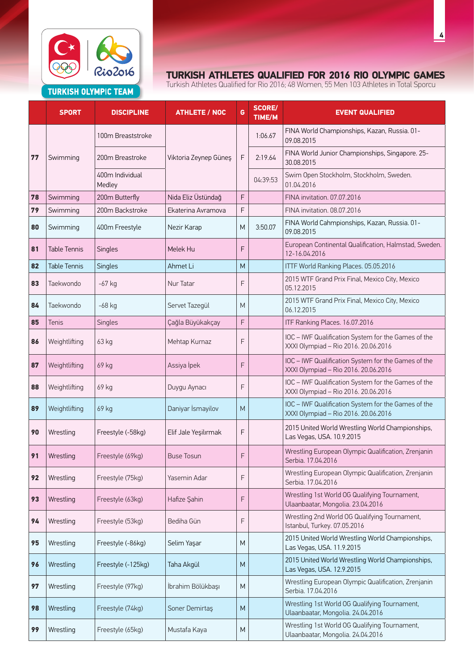

|    | <b>SPORT</b>        | <b>DISCIPLINE</b>         | <b>ATHLETE / NOC</b>  | G         | <b>SCORE/</b><br>TIME/M | <b>EVENT QUALIFIED</b>                                                                      |
|----|---------------------|---------------------------|-----------------------|-----------|-------------------------|---------------------------------------------------------------------------------------------|
|    | Swimming            | 100m Breaststroke         | Viktoria Zeynep Güneş | F         | 1:06.67                 | FINA World Championships, Kazan, Russia. 01-<br>09.08.2015                                  |
| 77 |                     | 200m Breastroke           |                       |           | 2:19.64                 | FINA World Junior Championships, Singapore. 25-<br>30.08.2015                               |
|    |                     | 400m Individual<br>Medley |                       |           | 04:39:53                | Swim Open Stockholm, Stockholm, Sweden.<br>01.04.2016                                       |
| 78 | Swimming            | 200m Butterfly            | Nida Eliz Üstündağ    | F         |                         | FINA invitation. 07.07.2016                                                                 |
| 79 | Swimming            | 200m Backstroke           | Ekaterina Avramova    | F         |                         | FINA invitation, 08.07.2016                                                                 |
| 80 | Swimming            | 400m Freestyle            | Nezir Karap           | M         | 3:50.07                 | FINA World Cahmpionships, Kazan, Russia. 01-<br>09.08.2015                                  |
| 81 | <b>Table Tennis</b> | Singles                   | Melek Hu              | F         |                         | European Continental Qualification, Halmstad, Sweden.<br>12-16.04.2016                      |
| 82 | <b>Table Tennis</b> | <b>Singles</b>            | Ahmet Li              | M         |                         | ITTF World Ranking Places. 05.05.2016                                                       |
| 83 | Taekwondo           | $-67$ kg                  | Nur Tatar             | F         |                         | 2015 WTF Grand Prix Final, Mexico City, Mexico<br>05.12.2015                                |
| 84 | Taekwondo           | $-68$ kg                  | Servet Tazegül        | M         |                         | 2015 WTF Grand Prix Final, Mexico City, Mexico<br>06.12.2015                                |
| 85 | Tenis               | Singles                   | Çağla Büyükakçay      | F         |                         | ITF Ranking Places. 16.07.2016                                                              |
| 86 | Weightlifting       | 63 kg                     | Mehtap Kurnaz         | F         |                         | IOC - IWF Qualification System for the Games of the<br>XXXI Olympiad - Rio 2016. 20.06.2016 |
| 87 | Weightlifting       | 69 kg                     | Assiya İpek           | F         |                         | IOC - IWF Qualification System for the Games of the<br>XXXI Olympiad - Rio 2016. 20.06.2016 |
| 88 | Weightlifting       | 69 kg                     | Duygu Aynacı          | F         |                         | IOC - IWF Qualification System for the Games of the<br>XXXI Olympiad - Rio 2016. 20.06.2016 |
| 89 | Weightlifting       | 69 kg                     | Daniyar İsmayilov     | M         |                         | IOC - IWF Qualification System for the Games of the<br>XXXI Olympiad - Rio 2016. 20.06.2016 |
| 90 | Wrestling           | Freestyle (-58kg)         | Elif Jale Yeşilırmak  | F         |                         | 2015 United World Wrestling World Championships,<br>Las Vegas, USA. 10.9.2015               |
| 91 | Wrestling           | Freestyle (69kg)          | <b>Buse Tosun</b>     | F         |                         | Wrestling European Olympic Qualification, Zrenjanin<br>Serbia. 17.04.2016                   |
| 92 | Wrestling           | Freestyle (75kg)          | Yasemin Adar          | F         |                         | Wrestling European Olympic Qualification, Zrenjanin<br>Serbia. 17.04.2016                   |
| 93 | Wrestling           | Freestyle (63kg)          | Hafize Şahin          | F         |                         | Wrestling 1st World OG Qualifying Tournament,<br>Ulaanbaatar, Mongolia. 23.04.2016          |
| 94 | Wrestling           | Freestyle (53kg)          | Bediha Gün            | F         |                         | Wrestling 2nd World OG Qualifying Tournament,<br>Istanbul, Turkey. 07.05.2016               |
| 95 | Wrestling           | Freestyle (-86kg)         | Selim Yaşar           | M         |                         | 2015 United World Wrestling World Championships,<br>Las Vegas, USA. 11.9.2015               |
| 96 | Wrestling           | Freestyle (-125kg)        | Taha Akgül            | M         |                         | 2015 United World Wrestling World Championships,<br>Las Vegas, USA. 12.9.2015               |
| 97 | Wrestling           | Freestyle (97kg)          | İbrahim Bölükbaşı     | ${\sf M}$ |                         | Wrestling European Olympic Qualification, Zrenjanin<br>Serbia. 17.04.2016                   |
| 98 | Wrestling           | Freestyle (74kg)          | Soner Demirtaş        | M         |                         | Wrestling 1st World OG Qualifying Tournament,<br>Ulaanbaatar, Mongolia. 24.04.2016          |
| 99 | Wrestling           | Freestyle (65kg)          | Mustafa Kaya          | ${\sf M}$ |                         | Wrestling 1st World OG Qualifying Tournament,<br>Ulaanbaatar, Mongolia. 24.04.2016          |